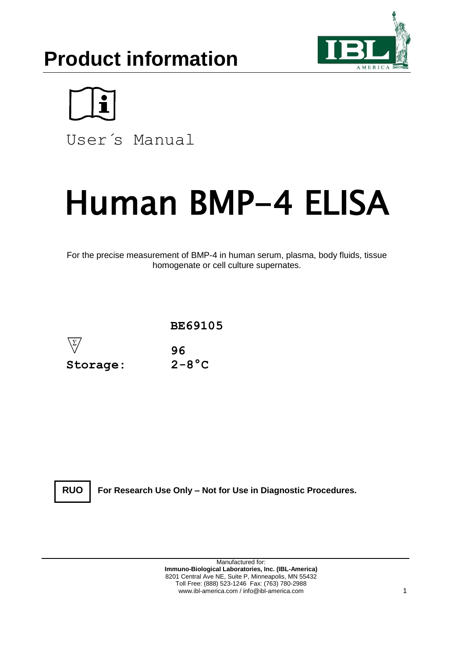# **Product information**





User´s Manual

# Human BMP-4 ELISA

For the precise measurement of BMP-4 in human serum, plasma, body fluids, tissue homogenate or cell culture supernates.



**RUO**

**For Research Use Only – Not for Use in Diagnostic Procedures.**

Manufactured for: **Immuno-Biological Laboratories, Inc. (IBL-America)** 8201 Central Ave NE, Suite P, Minneapolis, MN 55432 Toll Free: (888) 523-1246 Fax: (763) 780-2988 www.ibl-america.com / info@ibl-america.com 1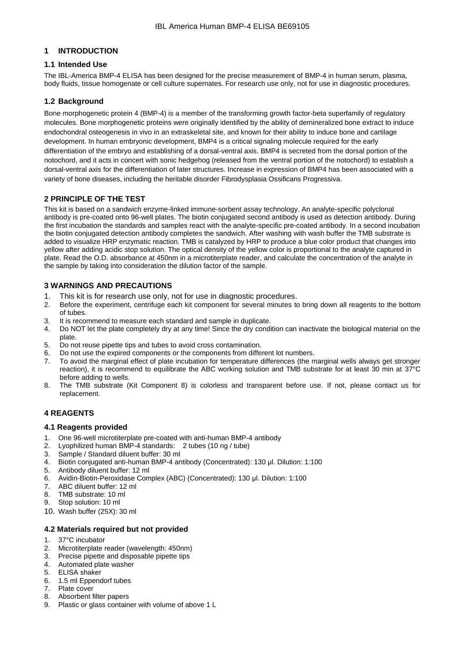# **1 INTRODUCTION**

# **1.1 Intended Use**

The IBL-America BMP-4 ELISA has been designed for the precise measurement of BMP-4 in human serum, plasma, body fluids, tissue homogenate or cell culture supernates. For research use only, not for use in diagnostic procedures.

# **1.2 Background**

Bone morphogenetic protein 4 (BMP-4) is a member of the transforming growth factor-beta superfamily of regulatory molecules. Bone morphogenetic proteins were originally identified by the ability of demineralized bone extract to induce endochondral osteogenesis in vivo in an extraskeletal site, and known for their ability to induce bone and cartilage development. In human embryonic development, BMP4 is a critical signaling molecule required for the early differentiation of the embryo and establishing of a dorsal-ventral axis. BMP4 is secreted from the dorsal portion of the notochord, and it acts in concert with sonic hedgehog (released from the ventral portion of the notochord) to establish a dorsal-ventral axis for the differentiation of later structures. Increase in expression of BMP4 has been associated with a variety of bone diseases, including the heritable disorder Fibrodysplasia Ossificans Progressiva.

# **2 PRINCIPLE OF THE TEST**

This kit is based on a sandwich enzyme-linked immune-sorbent assay technology. An analyte-specific polyclonal antibody is pre-coated onto 96-well plates. The biotin conjugated second antibody is used as detection antibody. During the first incubation the standards and samples react with the analyte-specific pre-coated antibody. In a second incubation the biotin conjugated detection antibody completes the sandwich. After washing with wash buffer the TMB substrate is added to visualize HRP enzymatic reaction. TMB is catalyzed by HRP to produce a blue color product that changes into yellow after adding acidic stop solution. The optical density of the yellow color is proportional to the analyte captured in plate. Read the O.D. absorbance at 450nm in a microtiterplate reader, and calculate the concentration of the analyte in the sample by taking into consideration the dilution factor of the sample.

# **3 WARNINGS AND PRECAUTIONS**

- 1. This kit is for research use only, not for use in diagnostic procedures.
- 2. Before the experiment, centrifuge each kit component for several minutes to bring down all reagents to the bottom of tubes.
- 3. It is recommend to measure each standard and sample in duplicate.
- 4. Do NOT let the plate completely dry at any time! Since the dry condition can inactivate the biological material on the plate.
- 5. Do not reuse pipette tips and tubes to avoid cross contamination.
- 6. Do not use the expired components or the components from different lot numbers.
- 7. To avoid the marginal effect of plate incubation for temperature differences (the marginal wells always get stronger reaction), it is recommend to equilibrate the ABC working solution and TMB substrate for at least 30 min at 37°C before adding to wells.
- 8. The TMB substrate (Kit Component 8) is colorless and transparent before use. If not, please contact us for replacement.

# **4 REAGENTS**

# **4.1 Reagents provided**

- 1. One 96-well microtiterplate pre-coated with anti-human BMP-4 antibody<br>2. Lyophilized human BMP-4 standards: 2 tubes (10 ng / tube)
- 2. Lyophilized human BMP-4 standards: 2 tubes (10 ng / tube)
- 3. Sample / Standard diluent buffer: 30 ml
- 4. Biotin conjugated anti-human BMP-4 antibody (Concentrated): 130 μl. Dilution: 1:100
- 5. Antibody diluent buffer: 12 ml
- 6. Avidin-Biotin-Peroxidase Complex (ABC) (Concentrated): 130 μl. Dilution: 1:100
- ABC diluent buffer: 12 ml
- 8. TMB substrate: 10 ml
- 9. Stop solution: 10 ml
- 10. Wash buffer (25X): 30 ml

# **4.2 Materials required but not provided**

- 
- 1. 37°C incubator<br>2. Microtiterplate r Microtiterplate reader (wavelength: 450nm)
- 3. Precise pipette and disposable pipette tips
- 4. Automated plate washer
- 5. ELISA shaker
- 6. 1.5 ml Eppendorf tubes
- 7. Plate cover
- 8. Absorbent filter papers
- 9. Plastic or glass container with volume of above 1 L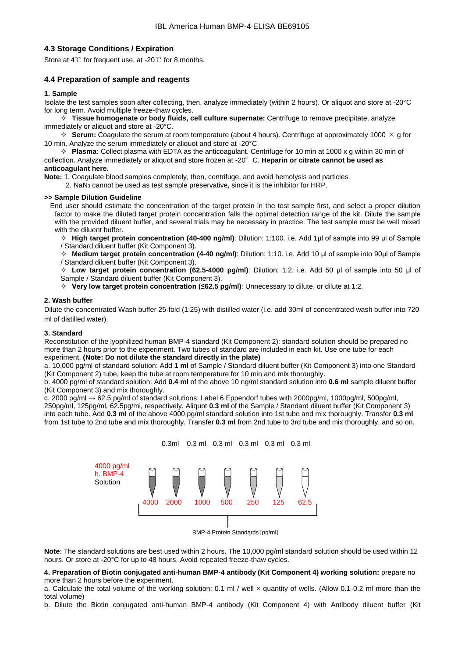# **4.3 Storage Conditions / Expiration**

Store at 4℃ for frequent use, at -20℃ for 8 months.

# **4.4 Preparation of sample and reagents**

#### **1. Sample**

Isolate the test samples soon after collecting, then, analyze immediately (within 2 hours). Or aliquot and store at -20°C for long term. Avoid multiple freeze-thaw cycles.

 **Tissue homogenate or body fluids, cell culture supernate:** Centrifuge to remove precipitate, analyze immediately or aliquot and store at -20°C.

 $\div$  **Serum:** Coagulate the serum at room temperature (about 4 hours). Centrifuge at approximately 1000  $\times$  g for 10 min. Analyze the serum immediately or aliquot and store at -20°C.

 **Plasma:** Collect plasma with EDTA as the anticoagulant. Centrifuge for 10 min at 1000 x g within 30 min of collection. Analyze immediately or aliquot and store frozen at -20°C. **Heparin or citrate cannot be used as anticoagulant here.**

**Note:** 1. Coagulate blood samples completely, then, centrifuge, and avoid hemolysis and particles.

2. NaN<sup>3</sup> cannot be used as test sample preservative, since it is the inhibitor for HRP.

#### **>> Sample Dilution Guideline**

End user should estimate the concentration of the target protein in the test sample first, and select a proper dilution factor to make the diluted target protein concentration falls the optimal detection range of the kit. Dilute the sample with the provided diluent buffer, and several trials may be necessary in practice. The test sample must be well mixed with the diluent buffer.

 **High target protein concentration (40-400 ng/ml)**: Dilution: 1:100. i.e. Add 1μl of sample into 99 μl of Sample / Standard diluent buffer (Kit Component 3).

 **Medium target protein concentration (4-40 ng/ml)**: Dilution: 1:10. i.e. Add 10 μl of sample into 90μl of Sample / Standard diluent buffer (Kit Component 3).

 **Low target protein concentration (62.5-4000 pg/ml)**: Dilution: 1:2. i.e. Add 50 μl of sample into 50 μl of Sample / Standard diluent buffer (Kit Component 3).

**Very low target protein concentration (≤62.5 pg/ml)**: Unnecessary to dilute, or dilute at 1:2.

#### **2. Wash buffer**

Dilute the concentrated Wash buffer 25-fold (1:25) with distilled water (i.e. add 30ml of concentrated wash buffer into 720 ml of distilled water).

#### **3. Standard**

Reconstitution of the lyophilized human BMP-4 standard (Kit Component 2): standard solution should be prepared no more than 2 hours prior to the experiment. Two tubes of standard are included in each kit. Use one tube for each experiment. **(Note: Do not dilute the standard directly in the plate)**

a. 10,000 pg/ml of standard solution: Add **1 ml** of Sample / Standard diluent buffer (Kit Component 3) into one Standard (Kit Component 2) tube, keep the tube at room temperature for 10 min and mix thoroughly.

b. 4000 pg/ml of standard solution: Add **0.4 ml** of the above 10 ng/ml standard solution into **0.6 ml** sample diluent buffer (Kit Component 3) and mix thoroughly.

c. 2000 pg/ml → 62.5 pg/ml of standard solutions: Label 6 Eppendorf tubes with 2000pg/ml, 1000pg/ml, 500pg/ml, 250pg/ml, 125pg/ml, 62.5pg/ml, respectively. Aliquot **0.3 ml** of the Sample / Standard diluent buffer (Kit Component 3) into each tube. Add **0.3 ml** of the above 4000 pg/ml standard solution into 1st tube and mix thoroughly. Transfer **0.3 ml** from 1st tube to 2nd tube and mix thoroughly. Transfer **0.3 ml** from 2nd tube to 3rd tube and mix thoroughly, and so on.



**Note**: The standard solutions are best used within 2 hours. The 10,000 pg/ml standard solution should be used within 12 hours. Or store at -20°C for up to 48 hours. Avoid repeated freeze-thaw cycles.

#### **4. Preparation of Biotin conjugated anti-human BMP-4 antibody (Kit Component 4) working solution:** prepare no more than 2 hours before the experiment.

a. Calculate the total volume of the working solution: 0.1 ml / well x quantity of wells. (Allow 0.1-0.2 ml more than the total volume)

b. Dilute the Biotin conjugated anti-human BMP-4 antibody (Kit Component 4) with Antibody diluent buffer (Kit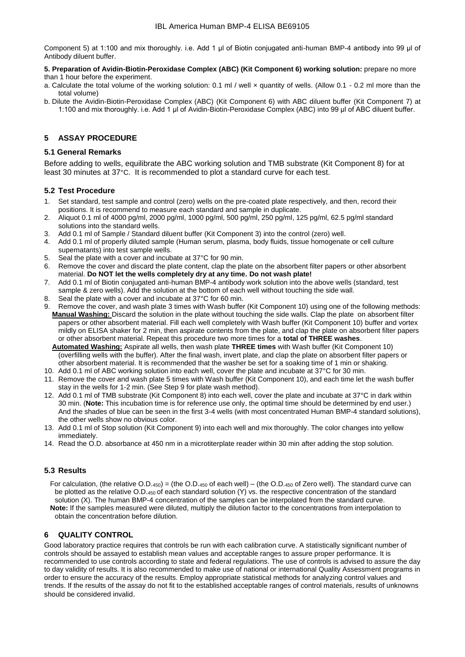Component 5) at 1:100 and mix thoroughly. i.e. Add 1 μl of Biotin conjugated anti-human BMP-4 antibody into 99 μl of Antibody diluent buffer.

#### **5. Preparation of Avidin-Biotin-Peroxidase Complex (ABC) (Kit Component 6) working solution:** prepare no more than 1 hour before the experiment.

- a. Calculate the total volume of the working solution: 0.1 ml / well × quantity of wells. (Allow 0.1 0.2 ml more than the total volume)
- b. Dilute the Avidin-Biotin-Peroxidase Complex (ABC) (Kit Component 6) with ABC diluent buffer (Kit Component 7) at 1:100 and mix thoroughly. i.e. Add 1 μl of Avidin-Biotin-Peroxidase Complex (ABC) into 99 μl of ABC diluent buffer.

# **5 ASSAY PROCEDURE**

# **5.1 General Remarks**

Before adding to wells, equilibrate the ABC working solution and TMB substrate (Kit Component 8) for at least 30 minutes at 37°C. It is recommended to plot a standard curve for each test.

# **5.2 Test Procedure**

- 1. Set standard, test sample and control (zero) wells on the pre-coated plate respectively, and then, record their positions. It is recommend to measure each standard and sample in duplicate.
- 2. Aliquot 0.1 ml of 4000 pg/ml, 2000 pg/ml, 1000 pg/ml, 500 pg/ml, 250 pg/ml, 125 pg/ml, 62.5 pg/ml standard solutions into the standard wells.
- 3. Add 0.1 ml of Sample / Standard diluent buffer (Kit Component 3) into the control (zero) well.
- 4. Add 0.1 ml of properly diluted sample (Human serum, plasma, body fluids, tissue homogenate or cell culture supernatants) into test sample wells.
- 5. Seal the plate with a cover and incubate at 37°C for 90 min.
- 6. Remove the cover and discard the plate content, clap the plate on the absorbent filter papers or other absorbent material. **Do NOT let the wells completely dry at any time. Do not wash plate!**
- 7. Add 0.1 ml of Biotin conjugated anti-human BMP-4 antibody work solution into the above wells (standard, test sample & zero wells). Add the solution at the bottom of each well without touching the side wall.  $\frac{1}{2}$ <br>8. Seal the plate with a cover and incubate at 37°C for 60 min.<br>9. Remove the cover and wash plate 3 time
- 
- Remove the cover, and wash plate 3 times with Wash buffer (Kit Component 10) using one of the following methods: **Manual Washing:** Discard the solution in the plate without touching the side walls. Clap the plate on absorbent filter papers or other absorbent material. Fill each well completely with Wash buffer (Kit Component 10) buffer and vortex mildly on ELISA shaker for 2 min, then aspirate contents from the plate, and clap the plate on absorbent filter papers or other absorbent material. Repeat this procedure two more times for a **total of THREE washes**.

 **Automated Washing:** Aspirate all wells, then wash plate **THREE times** with Wash buffer (Kit Component 10) (overfilling wells with the buffer). After the final wash, invert plate, and clap the plate on absorbent filter papers or other absorbent material. It is recommended that the washer be set for a soaking time of 1 min or shaking.

- 10. Add 0.1 ml of ABC working solution into each well, cover the plate and incubate at 37°C for 30 min.
- 11. Remove the cover and wash plate 5 times with Wash buffer (Kit Component 10), and each time let the wash buffer stay in the wells for 1-2 min. (See Step 9 for plate wash method).
- 12. Add 0.1 ml of TMB substrate (Kit Component 8) into each well, cover the plate and incubate at 37°C in dark within 30 min. (**Note:** This incubation time is for reference use only, the optimal time should be determined by end user.) And the shades of blue can be seen in the first 3-4 wells (with most concentrated Human BMP-4 standard solutions), the other wells show no obvious color.
- 13. Add 0.1 ml of Stop solution (Kit Component 9) into each well and mix thoroughly. The color changes into yellow immediately.
- 14. Read the O.D. absorbance at 450 nm in a microtiterplate reader within 30 min after adding the stop solution.

# **5.3 Results**

 For calculation, (the relative O.D.450) = (the O.D.<sup>450</sup> of each well) – (the O.D.<sup>450</sup> of Zero well). The standard curve can be plotted as the relative O.D.<sub>450</sub> of each standard solution (Y) vs. the respective concentration of the standard solution (X). The human BMP-4 concentration of the samples can be interpolated from the standard curve.  **Note:** If the samples measured were diluted, multiply the dilution factor to the concentrations from interpolation to obtain the concentration before dilution.

# **6 QUALITY CONTROL**

Good laboratory practice requires that controls be run with each calibration curve. A statistically significant number of controls should be assayed to establish mean values and acceptable ranges to assure proper performance. It is recommended to use controls according to state and federal regulations. The use of controls is advised to assure the day to day validity of results. It is also recommended to make use of national or international Quality Assessment programs in order to ensure the accuracy of the results. Employ appropriate statistical methods for analyzing control values and trends. If the results of the assay do not fit to the established acceptable ranges of control materials, results of unknowns should be considered invalid.